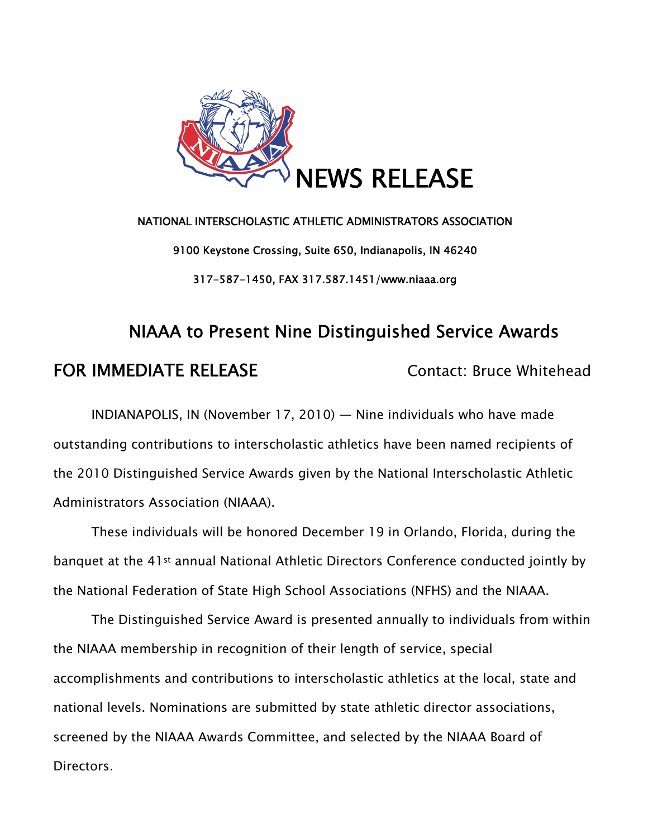

# NATIONAL INTERSCHOLASTIC ATHLETIC ADMINISTRATORS ASSOCIATION 9100 Keystone Crossing, Suite 650, Indianapolis, IN 46240 317-587-1450, FAX 317.587.1451/www.niaaa.org

# NIAAA to Present Nine Distinguished Service Awards FOR IMMEDIATE RELEASE Contact: Bruce Whitehead

INDIANAPOLIS, IN (November 17, 2010) — Nine individuals who have made outstanding contributions to interscholastic athletics have been named recipients of the 2010 Distinguished Service Awards given by the National Interscholastic Athletic Administrators Association (NIAAA).

These individuals will be honored December 19 in Orlando, Florida, during the banquet at the 41st annual National Athletic Directors Conference conducted jointly by the National Federation of State High School Associations (NFHS) and the NIAAA.

The Distinguished Service Award is presented annually to individuals from within the NIAAA membership in recognition of their length of service, special accomplishments and contributions to interscholastic athletics at the local, state and national levels. Nominations are submitted by state athletic director associations, screened by the NIAAA Awards Committee, and selected by the NIAAA Board of Directors.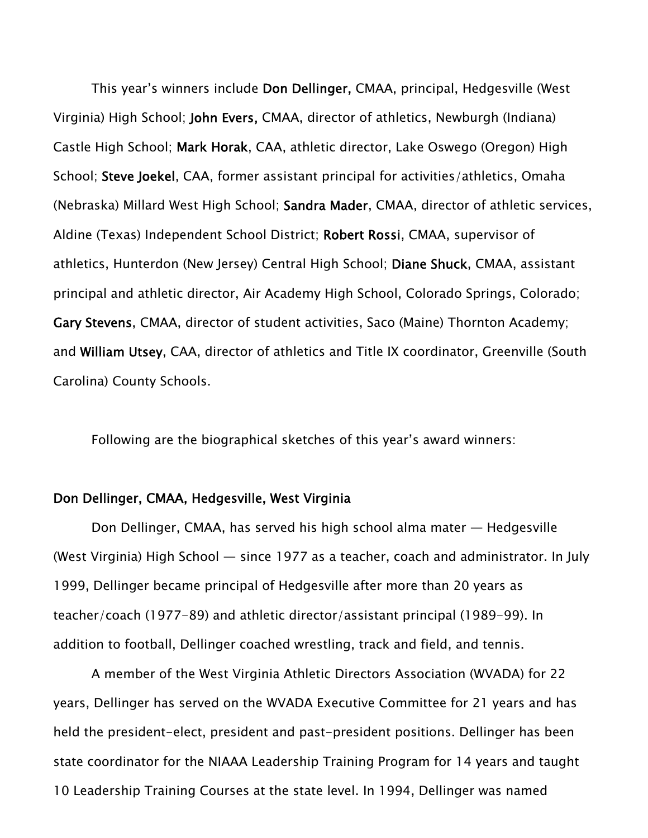This year's winners include Don Dellinger, CMAA, principal, Hedgesville (West Virginia) High School; John Evers, CMAA, director of athletics, Newburgh (Indiana) Castle High School; Mark Horak, CAA, athletic director, Lake Oswego (Oregon) High School; Steve Joekel, CAA, former assistant principal for activities/athletics, Omaha (Nebraska) Millard West High School; Sandra Mader, CMAA, director of athletic services, Aldine (Texas) Independent School District; Robert Rossi, CMAA, supervisor of athletics, Hunterdon (New Jersey) Central High School; Diane Shuck, CMAA, assistant principal and athletic director, Air Academy High School, Colorado Springs, Colorado; Gary Stevens, CMAA, director of student activities, Saco (Maine) Thornton Academy; and William Utsey, CAA, director of athletics and Title IX coordinator, Greenville (South Carolina) County Schools.

Following are the biographical sketches of this year's award winners:

#### Don Dellinger, CMAA, Hedgesville, West Virginia

Don Dellinger, CMAA, has served his high school alma mater — Hedgesville (West Virginia) High School — since 1977 as a teacher, coach and administrator. In July 1999, Dellinger became principal of Hedgesville after more than 20 years as teacher/coach (1977-89) and athletic director/assistant principal (1989-99). In addition to football, Dellinger coached wrestling, track and field, and tennis.

A member of the West Virginia Athletic Directors Association (WVADA) for 22 years, Dellinger has served on the WVADA Executive Committee for 21 years and has held the president-elect, president and past-president positions. Dellinger has been state coordinator for the NIAAA Leadership Training Program for 14 years and taught 10 Leadership Training Courses at the state level. In 1994, Dellinger was named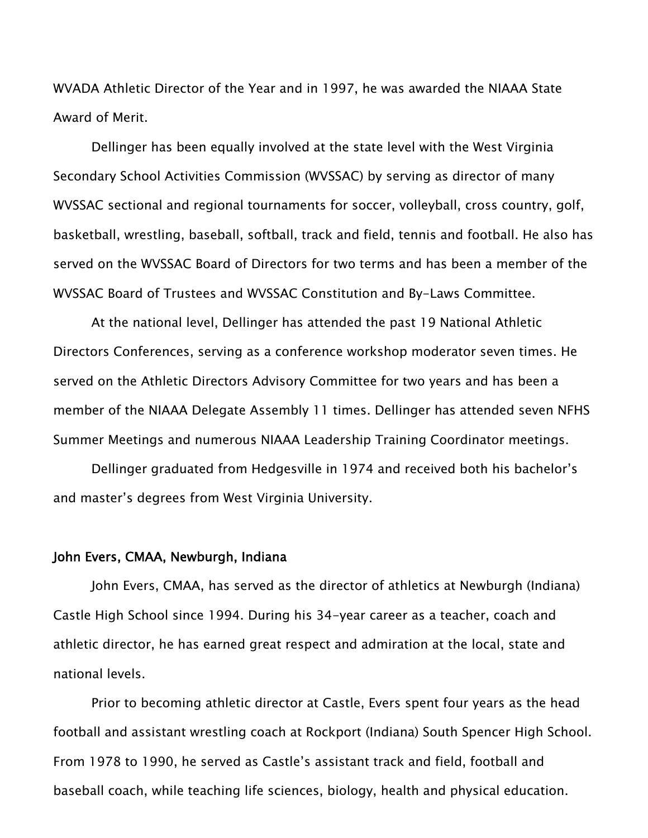WVADA Athletic Director of the Year and in 1997, he was awarded the NIAAA State Award of Merit.

Dellinger has been equally involved at the state level with the West Virginia Secondary School Activities Commission (WVSSAC) by serving as director of many WVSSAC sectional and regional tournaments for soccer, volleyball, cross country, golf, basketball, wrestling, baseball, softball, track and field, tennis and football. He also has served on the WVSSAC Board of Directors for two terms and has been a member of the WVSSAC Board of Trustees and WVSSAC Constitution and By-Laws Committee.

At the national level, Dellinger has attended the past 19 National Athletic Directors Conferences, serving as a conference workshop moderator seven times. He served on the Athletic Directors Advisory Committee for two years and has been a member of the NIAAA Delegate Assembly 11 times. Dellinger has attended seven NFHS Summer Meetings and numerous NIAAA Leadership Training Coordinator meetings.

Dellinger graduated from Hedgesville in 1974 and received both his bachelor's and master's degrees from West Virginia University.

#### John Evers, CMAA, Newburgh, Indiana

John Evers, CMAA, has served as the director of athletics at Newburgh (Indiana) Castle High School since 1994. During his 34-year career as a teacher, coach and athletic director, he has earned great respect and admiration at the local, state and national levels.

Prior to becoming athletic director at Castle, Evers spent four years as the head football and assistant wrestling coach at Rockport (Indiana) South Spencer High School. From 1978 to 1990, he served as Castle's assistant track and field, football and baseball coach, while teaching life sciences, biology, health and physical education.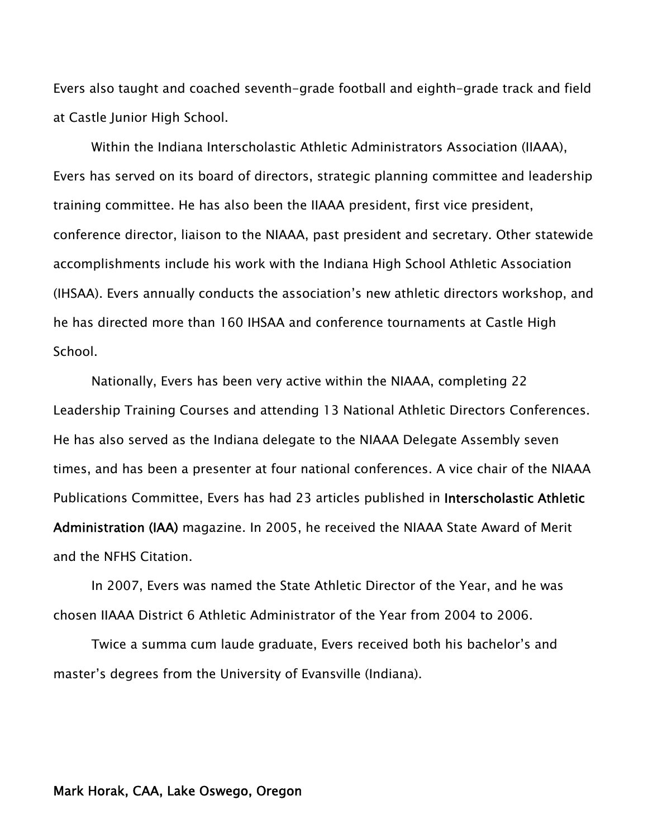Evers also taught and coached seventh-grade football and eighth-grade track and field at Castle Junior High School.

Within the Indiana Interscholastic Athletic Administrators Association (IIAAA), Evers has served on its board of directors, strategic planning committee and leadership training committee. He has also been the IIAAA president, first vice president, conference director, liaison to the NIAAA, past president and secretary. Other statewide accomplishments include his work with the Indiana High School Athletic Association (IHSAA). Evers annually conducts the association's new athletic directors workshop, and he has directed more than 160 IHSAA and conference tournaments at Castle High School.

Nationally, Evers has been very active within the NIAAA, completing 22 Leadership Training Courses and attending 13 National Athletic Directors Conferences. He has also served as the Indiana delegate to the NIAAA Delegate Assembly seven times, and has been a presenter at four national conferences. A vice chair of the NIAAA Publications Committee, Evers has had 23 articles published in Interscholastic Athletic Administration (IAA) magazine. In 2005, he received the NIAAA State Award of Merit and the NFHS Citation.

In 2007, Evers was named the State Athletic Director of the Year, and he was chosen IIAAA District 6 Athletic Administrator of the Year from 2004 to 2006.

Twice a summa cum laude graduate, Evers received both his bachelor's and master's degrees from the University of Evansville (Indiana).

#### Mark Horak, CAA, Lake Oswego, Oregon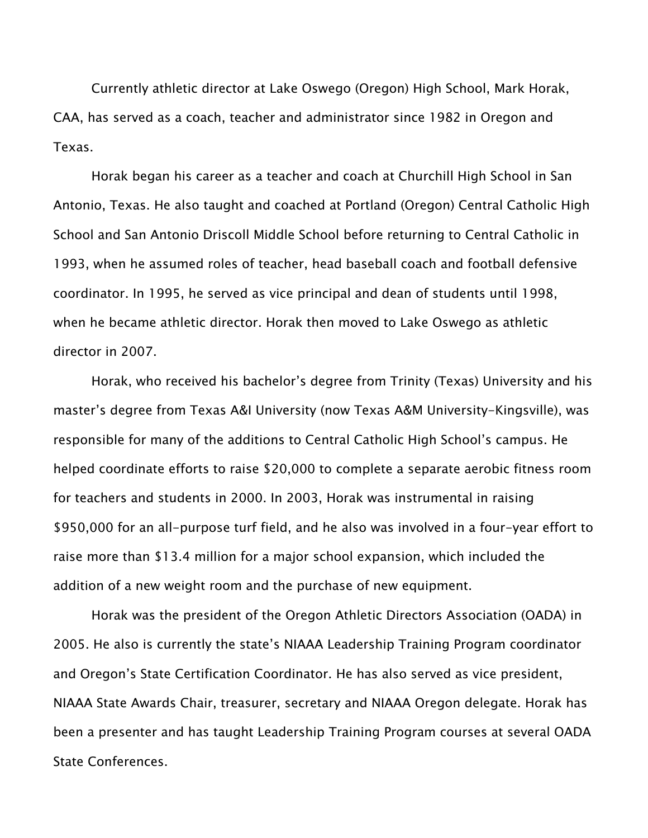Currently athletic director at Lake Oswego (Oregon) High School, Mark Horak, CAA, has served as a coach, teacher and administrator since 1982 in Oregon and Texas.

Horak began his career as a teacher and coach at Churchill High School in San Antonio, Texas. He also taught and coached at Portland (Oregon) Central Catholic High School and San Antonio Driscoll Middle School before returning to Central Catholic in 1993, when he assumed roles of teacher, head baseball coach and football defensive coordinator. In 1995, he served as vice principal and dean of students until 1998, when he became athletic director. Horak then moved to Lake Oswego as athletic director in 2007.

Horak, who received his bachelor's degree from Trinity (Texas) University and his master's degree from Texas A&I University (now Texas A&M University-Kingsville), was responsible for many of the additions to Central Catholic High School's campus. He helped coordinate efforts to raise \$20,000 to complete a separate aerobic fitness room for teachers and students in 2000. In 2003, Horak was instrumental in raising \$950,000 for an all-purpose turf field, and he also was involved in a four-year effort to raise more than \$13.4 million for a major school expansion, which included the addition of a new weight room and the purchase of new equipment.

Horak was the president of the Oregon Athletic Directors Association (OADA) in 2005. He also is currently the state's NIAAA Leadership Training Program coordinator and Oregon's State Certification Coordinator. He has also served as vice president, NIAAA State Awards Chair, treasurer, secretary and NIAAA Oregon delegate. Horak has been a presenter and has taught Leadership Training Program courses at several OADA State Conferences.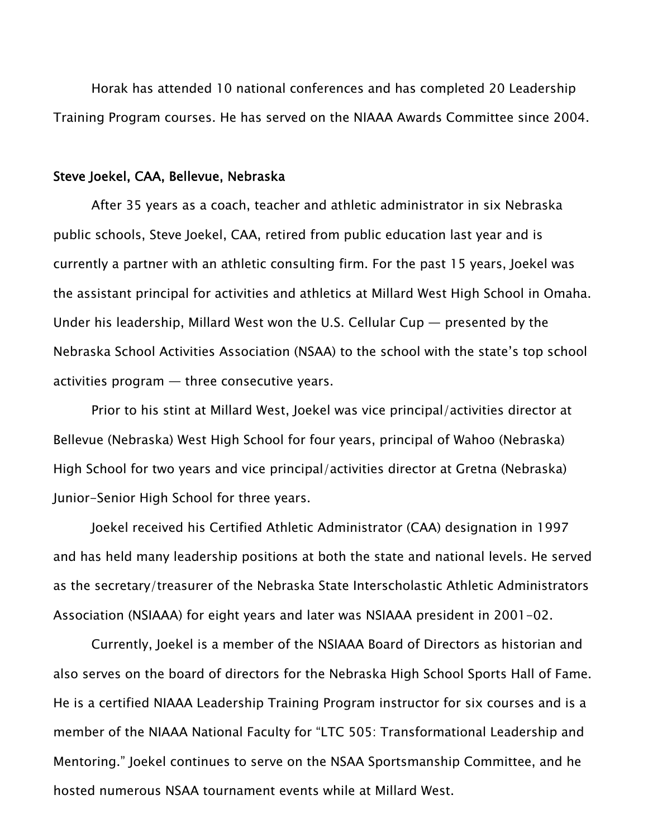Horak has attended 10 national conferences and has completed 20 Leadership Training Program courses. He has served on the NIAAA Awards Committee since 2004.

#### Steve Joekel, CAA, Bellevue, Nebraska

After 35 years as a coach, teacher and athletic administrator in six Nebraska public schools, Steve Joekel, CAA, retired from public education last year and is currently a partner with an athletic consulting firm. For the past 15 years, Joekel was the assistant principal for activities and athletics at Millard West High School in Omaha. Under his leadership, Millard West won the U.S. Cellular Cup — presented by the Nebraska School Activities Association (NSAA) to the school with the state's top school activities program — three consecutive years.

Prior to his stint at Millard West, Joekel was vice principal/activities director at Bellevue (Nebraska) West High School for four years, principal of Wahoo (Nebraska) High School for two years and vice principal/activities director at Gretna (Nebraska) Junior-Senior High School for three years.

Joekel received his Certified Athletic Administrator (CAA) designation in 1997 and has held many leadership positions at both the state and national levels. He served as the secretary/treasurer of the Nebraska State Interscholastic Athletic Administrators Association (NSIAAA) for eight years and later was NSIAAA president in 2001-02.

Currently, Joekel is a member of the NSIAAA Board of Directors as historian and also serves on the board of directors for the Nebraska High School Sports Hall of Fame. He is a certified NIAAA Leadership Training Program instructor for six courses and is a member of the NIAAA National Faculty for "LTC 505: Transformational Leadership and Mentoring." Joekel continues to serve on the NSAA Sportsmanship Committee, and he hosted numerous NSAA tournament events while at Millard West.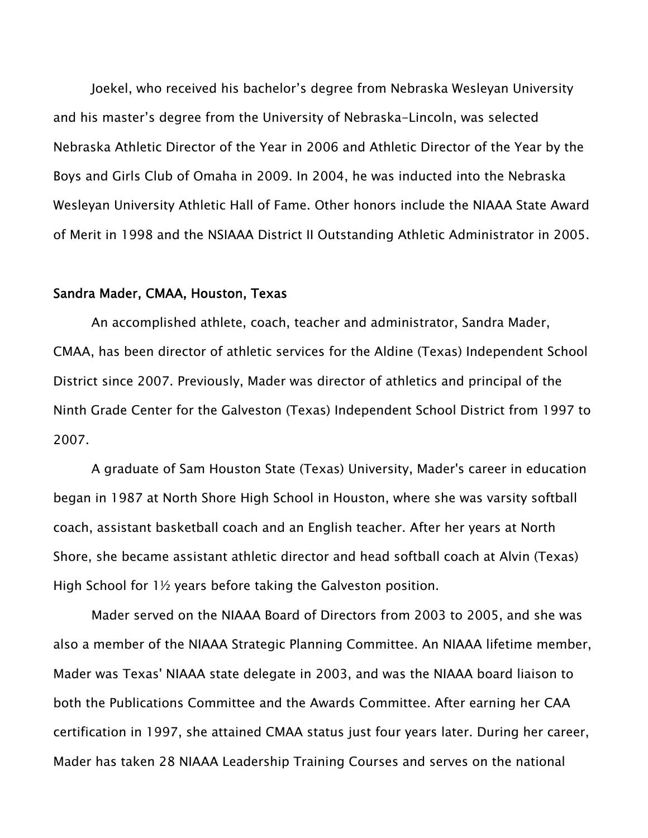Joekel, who received his bachelor's degree from Nebraska Wesleyan University and his master's degree from the University of Nebraska-Lincoln, was selected Nebraska Athletic Director of the Year in 2006 and Athletic Director of the Year by the Boys and Girls Club of Omaha in 2009. In 2004, he was inducted into the Nebraska Wesleyan University Athletic Hall of Fame. Other honors include the NIAAA State Award of Merit in 1998 and the NSIAAA District II Outstanding Athletic Administrator in 2005.

#### Sandra Mader, CMAA, Houston, Texas

An accomplished athlete, coach, teacher and administrator, Sandra Mader, CMAA, has been director of athletic services for the Aldine (Texas) Independent School District since 2007. Previously, Mader was director of athletics and principal of the Ninth Grade Center for the Galveston (Texas) Independent School District from 1997 to 2007.

A graduate of Sam Houston State (Texas) University, Mader's career in education began in 1987 at North Shore High School in Houston, where she was varsity softball coach, assistant basketball coach and an English teacher. After her years at North Shore, she became assistant athletic director and head softball coach at Alvin (Texas) High School for 1½ years before taking the Galveston position.

Mader served on the NIAAA Board of Directors from 2003 to 2005, and she was also a member of the NIAAA Strategic Planning Committee. An NIAAA lifetime member, Mader was Texas' NIAAA state delegate in 2003, and was the NIAAA board liaison to both the Publications Committee and the Awards Committee. After earning her CAA certification in 1997, she attained CMAA status just four years later. During her career, Mader has taken 28 NIAAA Leadership Training Courses and serves on the national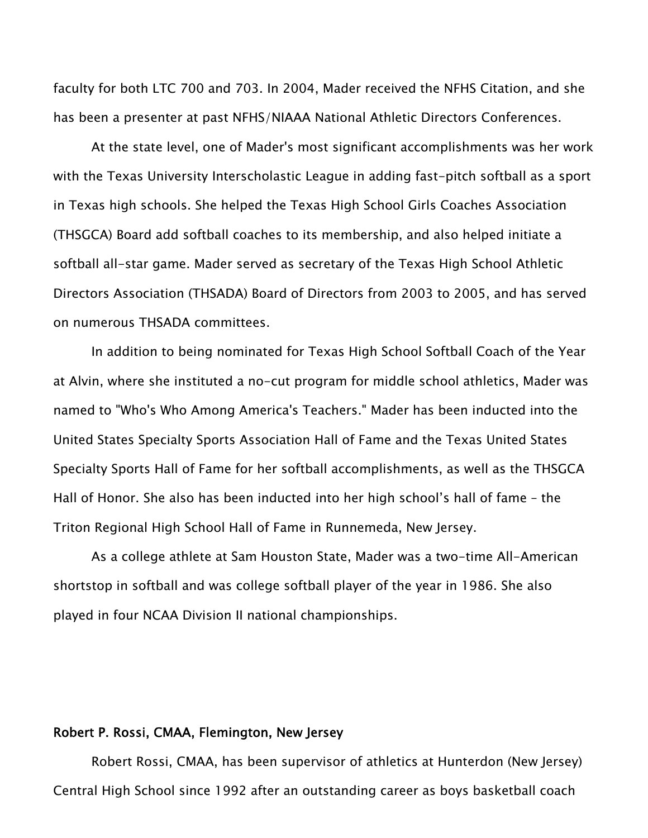faculty for both LTC 700 and 703. In 2004, Mader received the NFHS Citation, and she has been a presenter at past NFHS/NIAAA National Athletic Directors Conferences.

At the state level, one of Mader's most significant accomplishments was her work with the Texas University Interscholastic League in adding fast-pitch softball as a sport in Texas high schools. She helped the Texas High School Girls Coaches Association (THSGCA) Board add softball coaches to its membership, and also helped initiate a softball all-star game. Mader served as secretary of the Texas High School Athletic Directors Association (THSADA) Board of Directors from 2003 to 2005, and has served on numerous THSADA committees.

In addition to being nominated for Texas High School Softball Coach of the Year at Alvin, where she instituted a no-cut program for middle school athletics, Mader was named to "Who's Who Among America's Teachers." Mader has been inducted into the United States Specialty Sports Association Hall of Fame and the Texas United States Specialty Sports Hall of Fame for her softball accomplishments, as well as the THSGCA Hall of Honor. She also has been inducted into her high school's hall of fame – the Triton Regional High School Hall of Fame in Runnemeda, New Jersey.

As a college athlete at Sam Houston State, Mader was a two-time All-American shortstop in softball and was college softball player of the year in 1986. She also played in four NCAA Division II national championships.

### Robert P. Rossi, CMAA, Flemington, New Jersey

Robert Rossi, CMAA, has been supervisor of athletics at Hunterdon (New Jersey) Central High School since 1992 after an outstanding career as boys basketball coach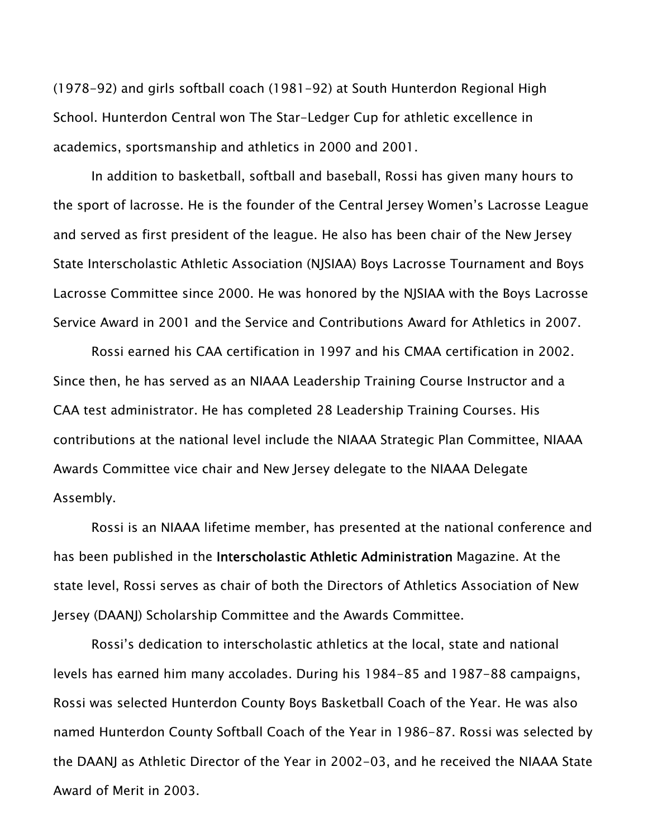(1978-92) and girls softball coach (1981-92) at South Hunterdon Regional High School. Hunterdon Central won The Star-Ledger Cup for athletic excellence in academics, sportsmanship and athletics in 2000 and 2001.

In addition to basketball, softball and baseball, Rossi has given many hours to the sport of lacrosse. He is the founder of the Central Jersey Women's Lacrosse League and served as first president of the league. He also has been chair of the New Jersey State Interscholastic Athletic Association (NJSIAA) Boys Lacrosse Tournament and Boys Lacrosse Committee since 2000. He was honored by the NJSIAA with the Boys Lacrosse Service Award in 2001 and the Service and Contributions Award for Athletics in 2007.

Rossi earned his CAA certification in 1997 and his CMAA certification in 2002. Since then, he has served as an NIAAA Leadership Training Course Instructor and a CAA test administrator. He has completed 28 Leadership Training Courses. His contributions at the national level include the NIAAA Strategic Plan Committee, NIAAA Awards Committee vice chair and New Jersey delegate to the NIAAA Delegate Assembly.

Rossi is an NIAAA lifetime member, has presented at the national conference and has been published in the Interscholastic Athletic Administration Magazine. At the state level, Rossi serves as chair of both the Directors of Athletics Association of New Jersey (DAANJ) Scholarship Committee and the Awards Committee.

Rossi's dedication to interscholastic athletics at the local, state and national levels has earned him many accolades. During his 1984-85 and 1987-88 campaigns, Rossi was selected Hunterdon County Boys Basketball Coach of the Year. He was also named Hunterdon County Softball Coach of the Year in 1986-87. Rossi was selected by the DAANJ as Athletic Director of the Year in 2002-03, and he received the NIAAA State Award of Merit in 2003.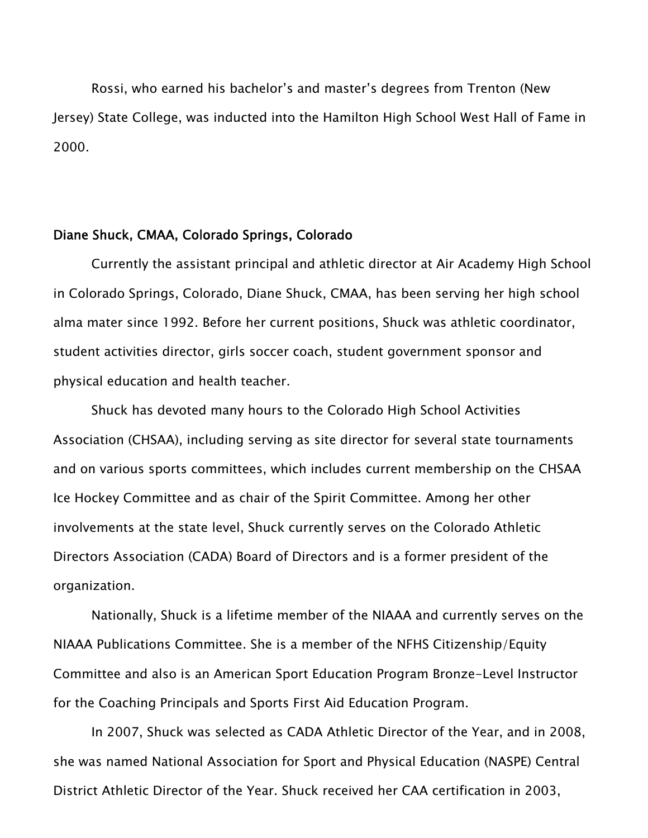Rossi, who earned his bachelor's and master's degrees from Trenton (New Jersey) State College, was inducted into the Hamilton High School West Hall of Fame in 2000.

#### Diane Shuck, CMAA, Colorado Springs, Colorado

Currently the assistant principal and athletic director at Air Academy High School in Colorado Springs, Colorado, Diane Shuck, CMAA, has been serving her high school alma mater since 1992. Before her current positions, Shuck was athletic coordinator, student activities director, girls soccer coach, student government sponsor and physical education and health teacher.

Shuck has devoted many hours to the Colorado High School Activities Association (CHSAA), including serving as site director for several state tournaments and on various sports committees, which includes current membership on the CHSAA Ice Hockey Committee and as chair of the Spirit Committee. Among her other involvements at the state level, Shuck currently serves on the Colorado Athletic Directors Association (CADA) Board of Directors and is a former president of the organization.

Nationally, Shuck is a lifetime member of the NIAAA and currently serves on the NIAAA Publications Committee. She is a member of the NFHS Citizenship/Equity Committee and also is an American Sport Education Program Bronze-Level Instructor for the Coaching Principals and Sports First Aid Education Program.

In 2007, Shuck was selected as CADA Athletic Director of the Year, and in 2008, she was named National Association for Sport and Physical Education (NASPE) Central District Athletic Director of the Year. Shuck received her CAA certification in 2003,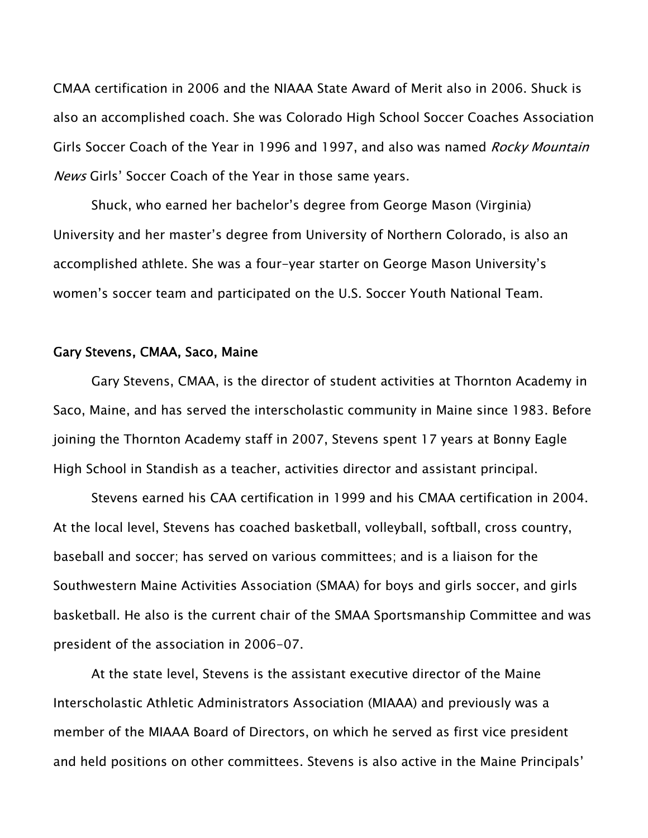CMAA certification in 2006 and the NIAAA State Award of Merit also in 2006. Shuck is also an accomplished coach. She was Colorado High School Soccer Coaches Association Girls Soccer Coach of the Year in 1996 and 1997, and also was named Rocky Mountain News Girls' Soccer Coach of the Year in those same years.

Shuck, who earned her bachelor's degree from George Mason (Virginia) University and her master's degree from University of Northern Colorado, is also an accomplished athlete. She was a four-year starter on George Mason University's women's soccer team and participated on the U.S. Soccer Youth National Team.

#### Gary Stevens, CMAA, Saco, Maine

Gary Stevens, CMAA, is the director of student activities at Thornton Academy in Saco, Maine, and has served the interscholastic community in Maine since 1983. Before joining the Thornton Academy staff in 2007, Stevens spent 17 years at Bonny Eagle High School in Standish as a teacher, activities director and assistant principal.

Stevens earned his CAA certification in 1999 and his CMAA certification in 2004. At the local level, Stevens has coached basketball, volleyball, softball, cross country, baseball and soccer; has served on various committees; and is a liaison for the Southwestern Maine Activities Association (SMAA) for boys and girls soccer, and girls basketball. He also is the current chair of the SMAA Sportsmanship Committee and was president of the association in 2006-07.

At the state level, Stevens is the assistant executive director of the Maine Interscholastic Athletic Administrators Association (MIAAA) and previously was a member of the MIAAA Board of Directors, on which he served as first vice president and held positions on other committees. Stevens is also active in the Maine Principals'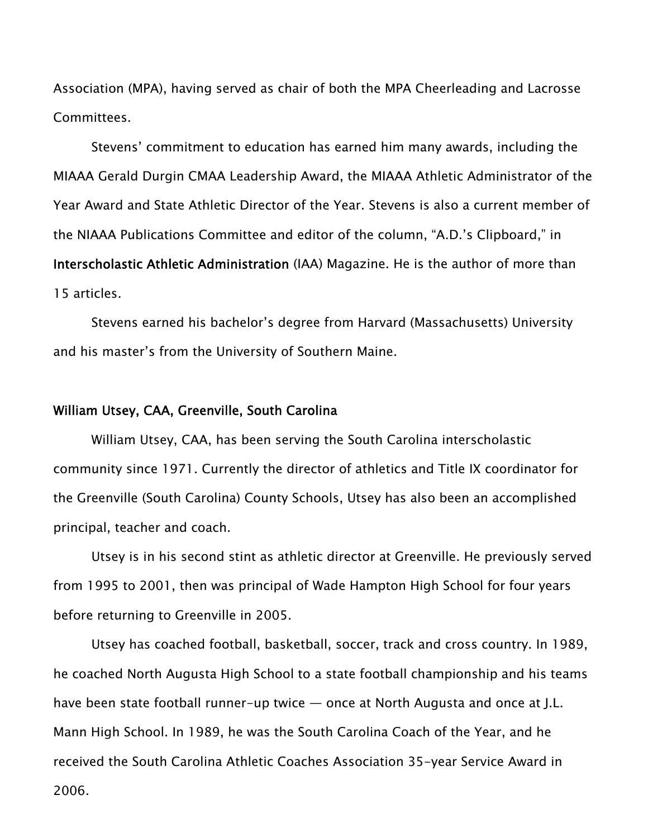Association (MPA), having served as chair of both the MPA Cheerleading and Lacrosse Committees.

Stevens' commitment to education has earned him many awards, including the MIAAA Gerald Durgin CMAA Leadership Award, the MIAAA Athletic Administrator of the Year Award and State Athletic Director of the Year. Stevens is also a current member of the NIAAA Publications Committee and editor of the column, "A.D.'s Clipboard," in Interscholastic Athletic Administration (IAA) Magazine. He is the author of more than 15 articles.

Stevens earned his bachelor's degree from Harvard (Massachusetts) University and his master's from the University of Southern Maine.

### William Utsey, CAA, Greenville, South Carolina

William Utsey, CAA, has been serving the South Carolina interscholastic community since 1971. Currently the director of athletics and Title IX coordinator for the Greenville (South Carolina) County Schools, Utsey has also been an accomplished principal, teacher and coach.

Utsey is in his second stint as athletic director at Greenville. He previously served from 1995 to 2001, then was principal of Wade Hampton High School for four years before returning to Greenville in 2005.

Utsey has coached football, basketball, soccer, track and cross country. In 1989, he coached North Augusta High School to a state football championship and his teams have been state football runner-up twice — once at North Augusta and once at J.L. Mann High School. In 1989, he was the South Carolina Coach of the Year, and he received the South Carolina Athletic Coaches Association 35-year Service Award in 2006.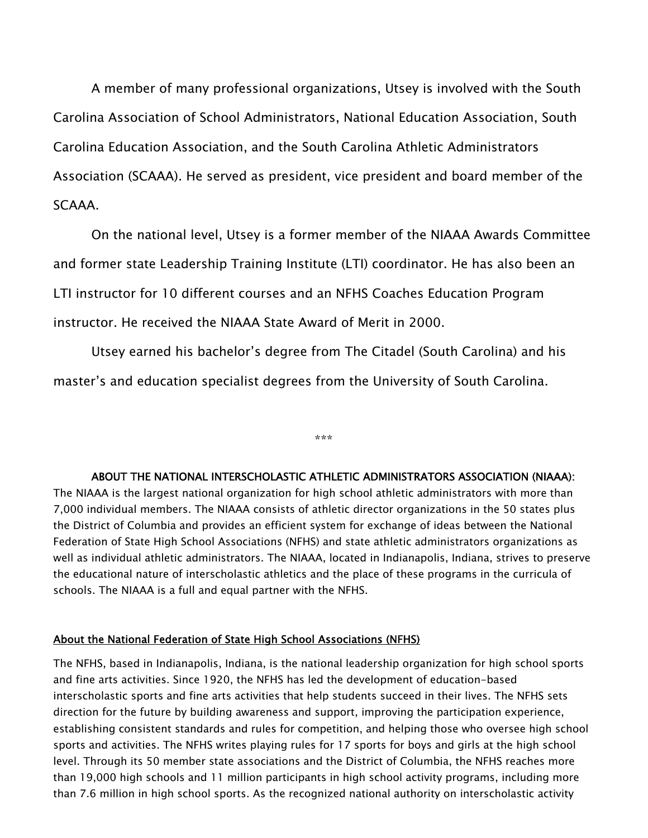A member of many professional organizations, Utsey is involved with the South Carolina Association of School Administrators, National Education Association, South Carolina Education Association, and the South Carolina Athletic Administrators Association (SCAAA). He served as president, vice president and board member of the SCAAA.

On the national level, Utsey is a former member of the NIAAA Awards Committee and former state Leadership Training Institute (LTI) coordinator. He has also been an LTI instructor for 10 different courses and an NFHS Coaches Education Program instructor. He received the NIAAA State Award of Merit in 2000.

Utsey earned his bachelor's degree from The Citadel (South Carolina) and his master's and education specialist degrees from the University of South Carolina.

\*\*\*

#### ABOUT THE NATIONAL INTERSCHOLASTIC ATHLETIC ADMINISTRATORS ASSOCIATION (NIAAA):

The NIAAA is the largest national organization for high school athletic administrators with more than 7,000 individual members. The NIAAA consists of athletic director organizations in the 50 states plus the District of Columbia and provides an efficient system for exchange of ideas between the National Federation of State High School Associations (NFHS) and state athletic administrators organizations as well as individual athletic administrators. The NIAAA, located in Indianapolis, Indiana, strives to preserve the educational nature of interscholastic athletics and the place of these programs in the curricula of schools. The NIAAA is a full and equal partner with the NFHS.

#### About the National Federation of State High School Associations (NFHS)

The NFHS, based in Indianapolis, Indiana, is the national leadership organization for high school sports and fine arts activities. Since 1920, the NFHS has led the development of education-based interscholastic sports and fine arts activities that help students succeed in their lives. The NFHS sets direction for the future by building awareness and support, improving the participation experience, establishing consistent standards and rules for competition, and helping those who oversee high school sports and activities. The NFHS writes playing rules for 17 sports for boys and girls at the high school level. Through its 50 member state associations and the District of Columbia, the NFHS reaches more than 19,000 high schools and 11 million participants in high school activity programs, including more than 7.6 million in high school sports. As the recognized national authority on interscholastic activity